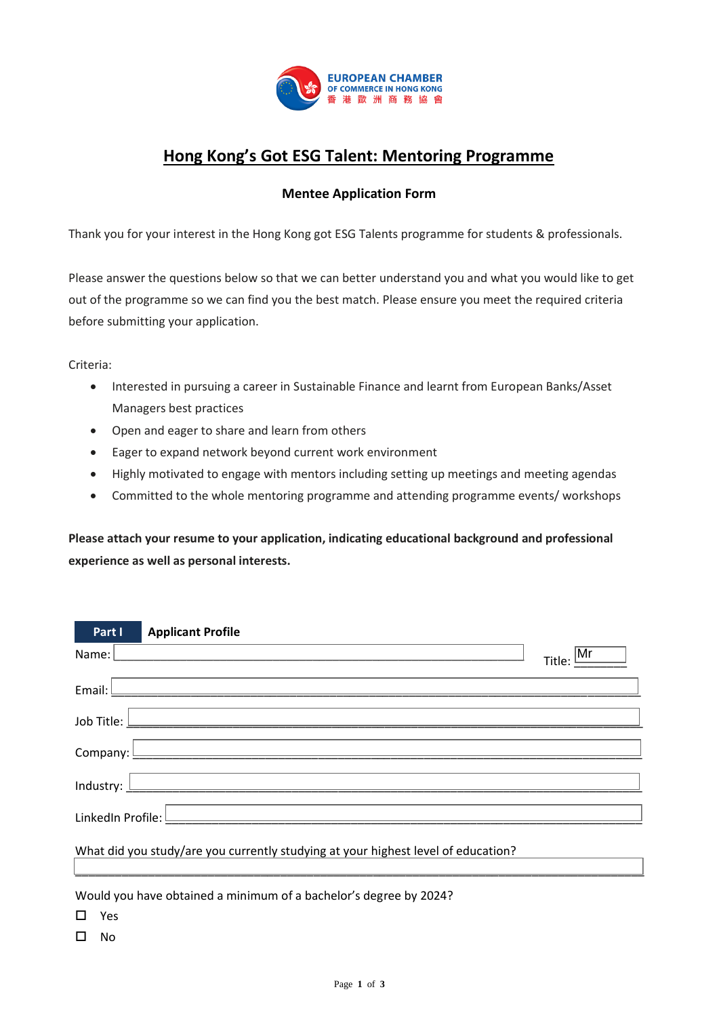

## **Hong Kong's Got ESG Talent: Mentoring Programme**

## **Mentee Application Form**

Thank you for your interest in the Hong Kong got ESG Talents programme for students & professionals.

Please answer the questions below so that we can better understand you and what you would like to get out of the programme so we can find you the best match. Please ensure you meet the required criteria before submitting your application.

Criteria:

- Interested in pursuing a career in Sustainable Finance and learnt from European Banks/Asset Managers best practices
- Open and eager to share and learn from others
- Eager to expand network beyond current work environment
- Highly motivated to engage with mentors including setting up meetings and meeting agendas
- Committed to the whole mentoring programme and attending programme events/ workshops

**Please attach your resume to your application, indicating educational background and professional experience as well as personal interests.**

| Part I                                                                            | <b>Applicant Profile</b>                                                                                              |  |
|-----------------------------------------------------------------------------------|-----------------------------------------------------------------------------------------------------------------------|--|
| Name:                                                                             | $\mathsf{Mr}$<br>Title:                                                                                               |  |
| Email: $\Box$                                                                     | <u> 1980 - Johann John Stone, meil in der Stone besteht der Stone besteht der Stone besteht der Stone besteht der</u> |  |
|                                                                                   |                                                                                                                       |  |
|                                                                                   | Company: <u>December 2008</u>                                                                                         |  |
|                                                                                   | Industry: $\Box$                                                                                                      |  |
| LinkedIn Profile: <u>Land Communication of the Communication</u>                  |                                                                                                                       |  |
| What did you study/are you currently studying at your highest level of education? |                                                                                                                       |  |
|                                                                                   |                                                                                                                       |  |

Would you have obtained a minimum of a bachelor's degree by 2024?

- 口 Yes
- $\Box$  No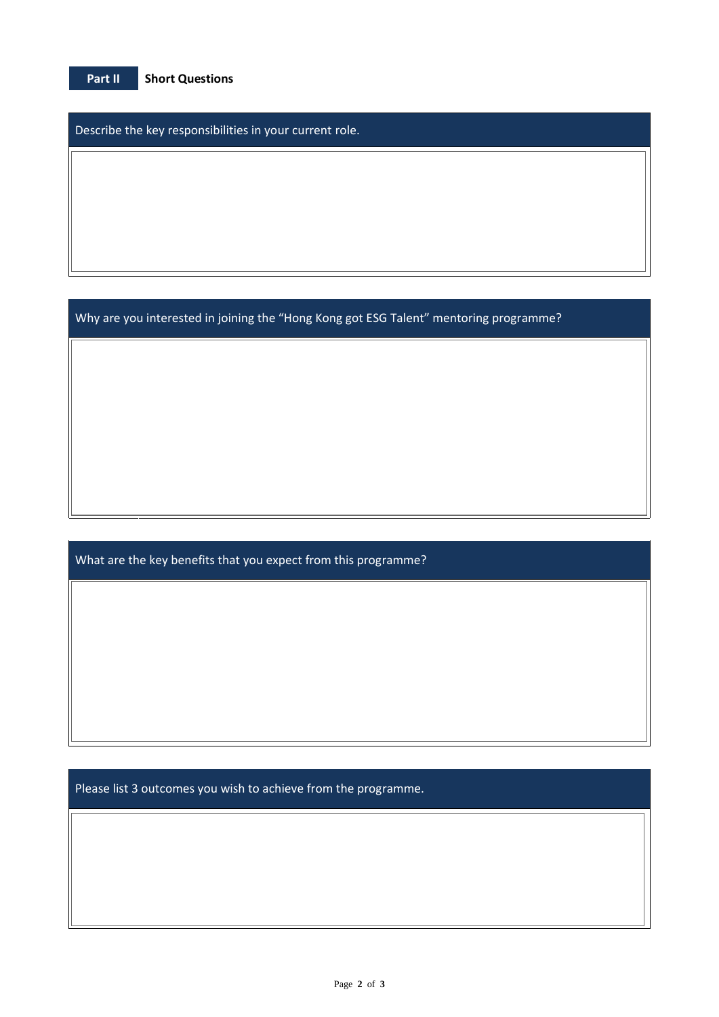| Part II | <b>Short Questions</b> |
|---------|------------------------|
|         |                        |

Describe the key responsibilities in your current role.

Why are you interested in joining the "Hong Kong got ESG Talent" mentoring programme?

What are the key benefits that you expect from this programme?

Please list 3 outcomes you wish to achieve from the programme.